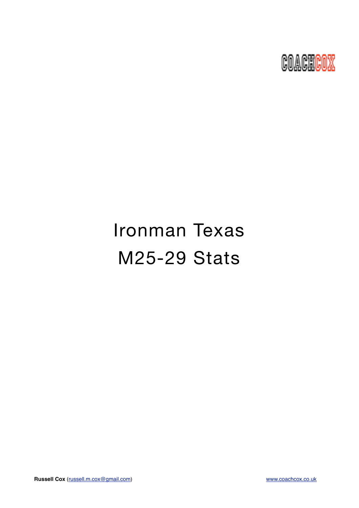

# Ironman Texas M25-29 Stats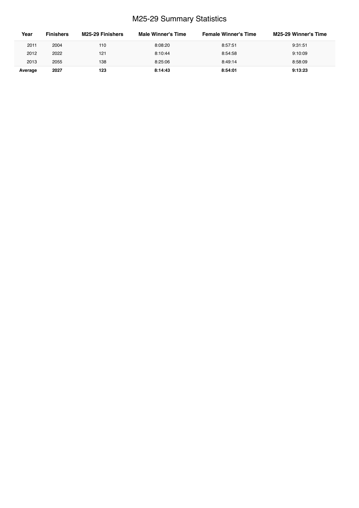# M25-29 Summary Statistics

| Year    | <b>Finishers</b> | M25-29 Finishers | <b>Male Winner's Time</b> | <b>Female Winner's Time</b> | M25-29 Winner's Time |
|---------|------------------|------------------|---------------------------|-----------------------------|----------------------|
| 2011    | 2004             | 110              | 8:08:20                   | 8:57:51                     | 9:31:51              |
| 2012    | 2022             | 121              | 8:10:44                   | 8:54:58                     | 9:10:09              |
| 2013    | 2055             | 138              | 8:25:06                   | 8:49:14                     | 8:58:09              |
| Average | 2027             | 123              | 8:14:43                   | 8:54:01                     | 9:13:23              |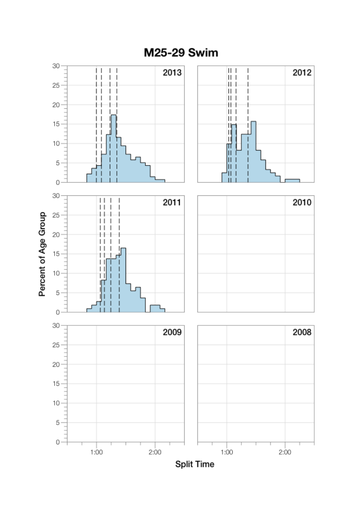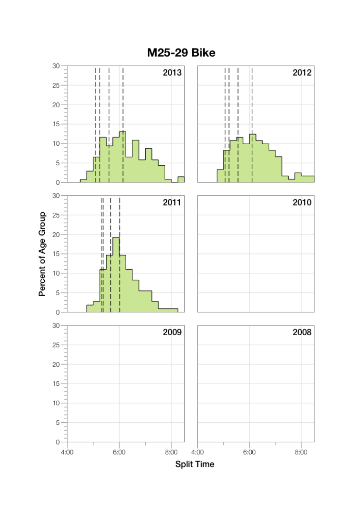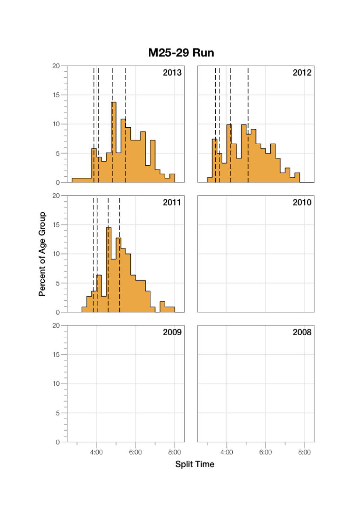

M25-29 Run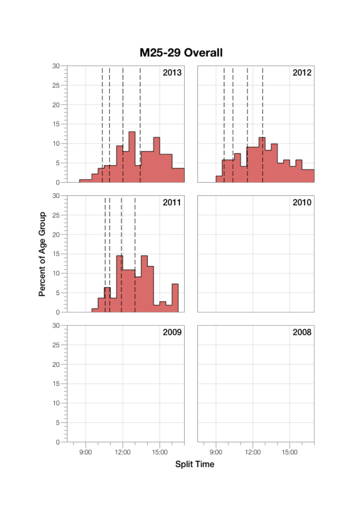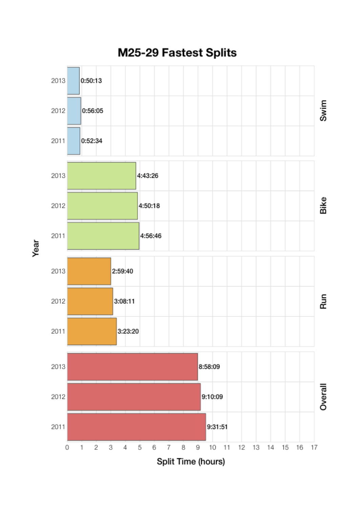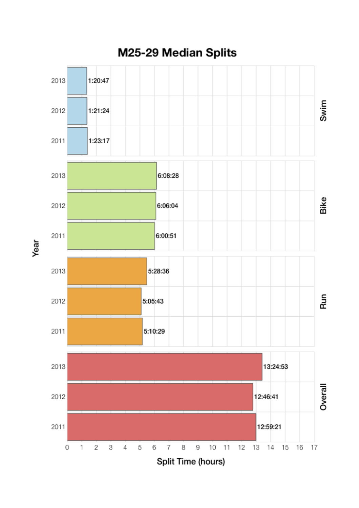

M25-29 Median Splits

Year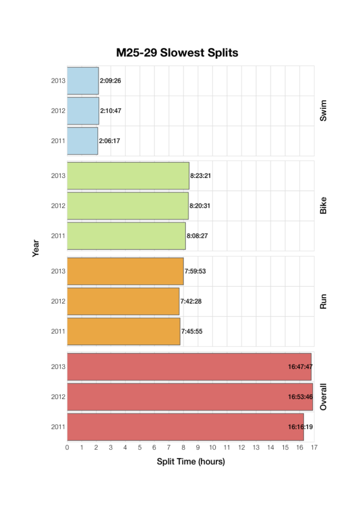

Year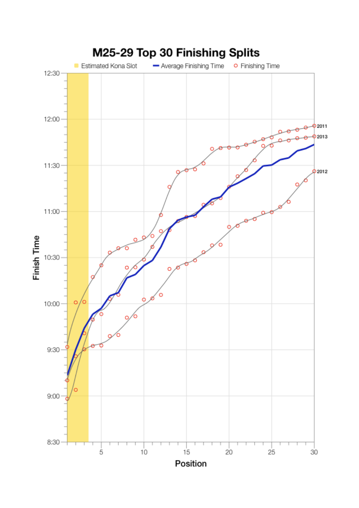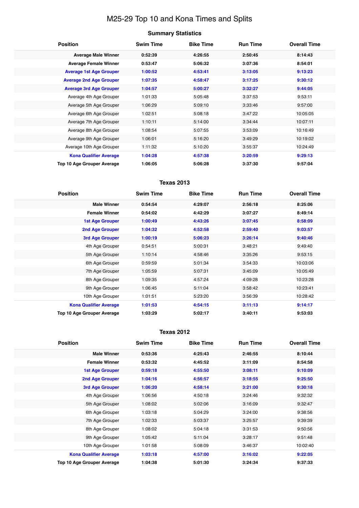# M25-29 Top 10 and Kona Times and Splits

## **Summary Statistics**

| <b>Position</b>                   | <b>Swim Time</b> | <b>Bike Time</b> | <b>Run Time</b> | <b>Overall Time</b> |
|-----------------------------------|------------------|------------------|-----------------|---------------------|
| <b>Average Male Winner</b>        | 0:52:39          | 4:26:55          | 2:50:45         | 8:14:43             |
| <b>Average Female Winner</b>      | 0:53:47          | 5:06:32          | 3:07:36         | 8:54:01             |
| <b>Average 1st Age Grouper</b>    | 1:00:52          | 4:53:41          | 3:13:05         | 9:13:23             |
| <b>Average 2nd Age Grouper</b>    | 1:07:35          | 4:58:47          | 3:17:25         | 9:30:12             |
| <b>Average 3rd Age Grouper</b>    | 1:04:57          | 5:00:27          | 3:32:27         | 9:44:05             |
| Average 4th Age Grouper           | 1:01:33          | 5:05:48          | 3:37:53         | 9:53:11             |
| Average 5th Age Grouper           | 1:06:29          | 5:09:10          | 3:33:46         | 9:57:00             |
| Average 6th Age Grouper           | 1:02:51          | 5:08:18          | 3:47:22         | 10:05:05            |
| Average 7th Age Grouper           | 1:10:11          | 5:14:00          | 3:34:44         | 10:07:11            |
| Average 8th Age Grouper           | 1:08:54          | 5:07:55          | 3:53:09         | 10:16:49            |
| Average 9th Age Grouper           | 1:06:01          | 5:16:20          | 3:49:29         | 10:19:02            |
| Average 10th Age Grouper          | 1:11:32          | 5:10:20          | 3:55:37         | 10:24:49            |
| <b>Kona Qualifier Average</b>     | 1:04:28          | 4:57:38          | 3:20:59         | 9:29:13             |
| <b>Top 10 Age Grouper Average</b> | 1:06:05          | 5:06:28          | 3:37:30         | 9:57:04             |

## **Texas 2013**

| <b>Position</b>               | <b>Swim Time</b> | <b>Bike Time</b> | <b>Run Time</b> | <b>Overall Time</b> |
|-------------------------------|------------------|------------------|-----------------|---------------------|
| <b>Male Winner</b>            | 0:54:54          | 4:29:07          | 2:56:18         | 8:25:06             |
| <b>Female Winner</b>          | 0:54:02          | 4:42:29          | 3:07:27         | 8:49:14             |
| 1st Age Grouper               | 1:00:49          | 4:43:26          | 3:07:45         | 8:58:09             |
| <b>2nd Age Grouper</b>        | 1:04:32          | 4:52:58          | 2:59:40         | 9:03:57             |
| 3rd Age Grouper               | 1:00:19          | 5:06:23          | 3:26:14         | 9:40:46             |
| 4th Age Grouper               | 0:54:51          | 5:00:31          | 3:48:21         | 9:49:40             |
| 5th Age Grouper               | 1:10:14          | 4:58:46          | 3:35:26         | 9:53:15             |
| 6th Age Grouper               | 0:59:59          | 5:01:34          | 3:54:33         | 10:03:06            |
| 7th Age Grouper               | 1:05:59          | 5:07:31          | 3:45:09         | 10:05:49            |
| 8th Age Grouper               | 1:09:35          | 4:57:24          | 4:09:28         | 10:23:28            |
| 9th Age Grouper               | 1:06:45          | 5:11:04          | 3:58:42         | 10:23:41            |
| 10th Age Grouper              | 1:01:51          | 5:23:20          | 3:56:39         | 10:28:42            |
| <b>Kona Qualifier Average</b> | 1:01:53          | 4:54:15          | 3:11:13         | 9:14:17             |
| Top 10 Age Grouper Average    | 1:03:29          | 5:02:17          | 3:40:11         | 9:53:03             |

#### **Texas 2012**

| <b>Position</b>               | <b>Swim Time</b> | <b>Bike Time</b> | <b>Run Time</b> | <b>Overall Time</b> |
|-------------------------------|------------------|------------------|-----------------|---------------------|
| <b>Male Winner</b>            | 0:53:36          | 4:25:43          | 2:46:55         | 8:10:44             |
| <b>Female Winner</b>          | 0:53:32          | 4:45:52          | 3:11:09         | 8:54:58             |
| <b>1st Age Grouper</b>        | 0:59:18          | 4:55:50          | 3:08:11         | 9:10:09             |
| <b>2nd Age Grouper</b>        | 1:04:16          | 4:56:57          | 3:18:55         | 9:25:50             |
| 3rd Age Grouper               | 1:06:20          | 4:58:14          | 3:21:00         | 9:30:18             |
| 4th Age Grouper               | 1:06:56          | 4:50:18          | 3:24:46         | 9:32:32             |
| 5th Age Grouper               | 1:08:02          | 5:02:06          | 3:16:09         | 9:32:47             |
| 6th Age Grouper               | 1:03:18          | 5:04:29          | 3:24:00         | 9:38:56             |
| 7th Age Grouper               | 1:02:33          | 5:03:37          | 3:25:57         | 9:39:39             |
| 8th Age Grouper               | 1:08:02          | 5:04:18          | 3:31:53         | 9:50:56             |
| 9th Age Grouper               | 1:05:42          | 5:11:04          | 3:28:17         | 9:51:48             |
| 10th Age Grouper              | 1:01:58          | 5:08:09          | 3:46:37         | 10:02:40            |
| <b>Kona Qualifier Average</b> | 1:03:18          | 4:57:00          | 3:16:02         | 9:22:05             |
| Top 10 Age Grouper Average    | 1:04:38          | 5:01:30          | 3:24:34         | 9:37:33             |